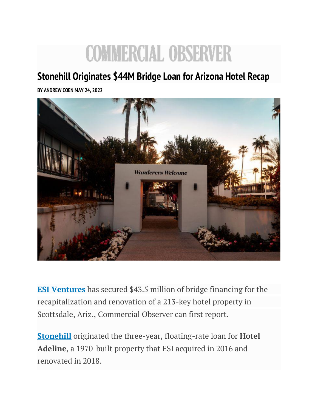## **COMMERCIAL OBSERVER**

## **Stonehill Originates \$44M Bridge Loan for Arizona Hotel Recap**

**BY [ANDREW COEN](https://commercialobserver.com/author/andrew-coen/) MAY 24, 2022**



**[ESI Ventures](https://commercialobserver.com/tag/esi-ventures/)** has secured \$43.5 million of bridge financing for the recapitalization and renovation of a 213-key hotel property in Scottsdale, Ariz., Commercial Observer can first report.

**[Stonehill](https://commercialobserver.com/tag/stonehill/)** originated the three-year, floating-rate loan for **Hotel Adeline**, a 1970-built property that ESI acquired in 2016 and renovated in 2018.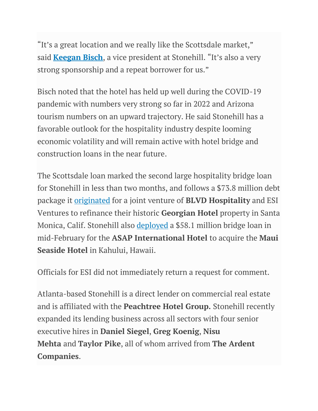"It's a great location and we really like the Scottsdale market," said **[Keegan Bisch](https://commercialobserver.com/tag/keegan-bisch/)**, a vice president at Stonehill. "It's also a very strong sponsorship and a repeat borrower for us."

Bisch noted that the hotel has held up well during the COVID-19 pandemic with numbers very strong so far in 2022 and Arizona tourism numbers on an upward trajectory. He said Stonehill has a favorable outlook for the hospitality industry despite looming economic volatility and will remain active with hotel bridge and construction loans in the near future.

The Scottsdale loan marked the second large hospitality bridge loan for Stonehill in less than two months, and follows a \$73.8 million debt package it [originated](https://commercialobserver.com/2022/03/stonehill-provides-bridge-loan-for-santa-monica-georgian-hotel/) for a joint venture of **BLVD Hospitality** and ESI Ventures to refinance their historic **Georgian Hotel** property in Santa Monica, Calif. Stonehill also [deployed](https://commercialobserver.com/2022/02/stonehill-originates-58m-bridge-financing-for-maui-seaside-hotel-in-hawaii/) a \$58.1 million bridge loan in mid-February for the **ASAP International Hotel** to acquire the **Maui Seaside Hotel** in Kahului, Hawaii.

Officials for ESI did not immediately return a request for comment.

Atlanta-based Stonehill is a direct lender on commercial real estate and is affiliated with the **Peachtree Hotel Group.** Stonehill recently expanded its lending business across all sectors with four senior executive hires in **Daniel Siegel**, **Greg Koenig**, **Nisu Mehta** and **Taylor Pike**, all of whom arrived from **The Ardent Companies**.